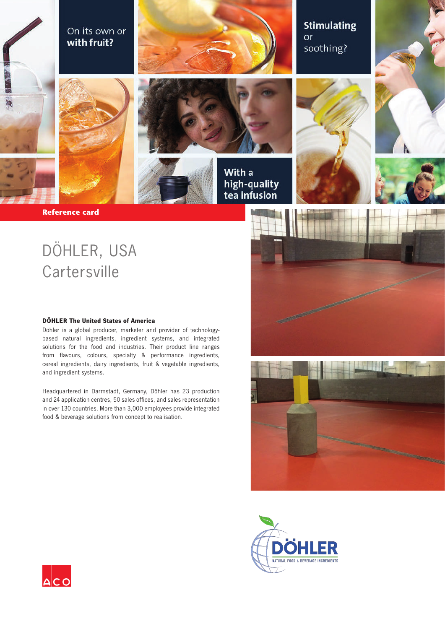









With a high-quality tea infusion





**Reference card** 

# DÖHLER, USA **Cartersville**

#### **DÖHLER The United States of America**

Döhler is a global producer, marketer and provider of technologybased natural ingredients, ingredient systems, and integrated solutions for the food and industries. Their product line ranges from flavours, colours, specialty & performance ingredients, cereal ingredients, dairy ingredients, fruit & vegetable ingredients, and ingredient systems.

Headquartered in Darmstadt, Germany, Döhler has 23 production and 24 application centres, 50 sales offices, and sales representation in over 130 countries. More than 3,000 employees provide integrated food & beverage solutions from concept to realisation.